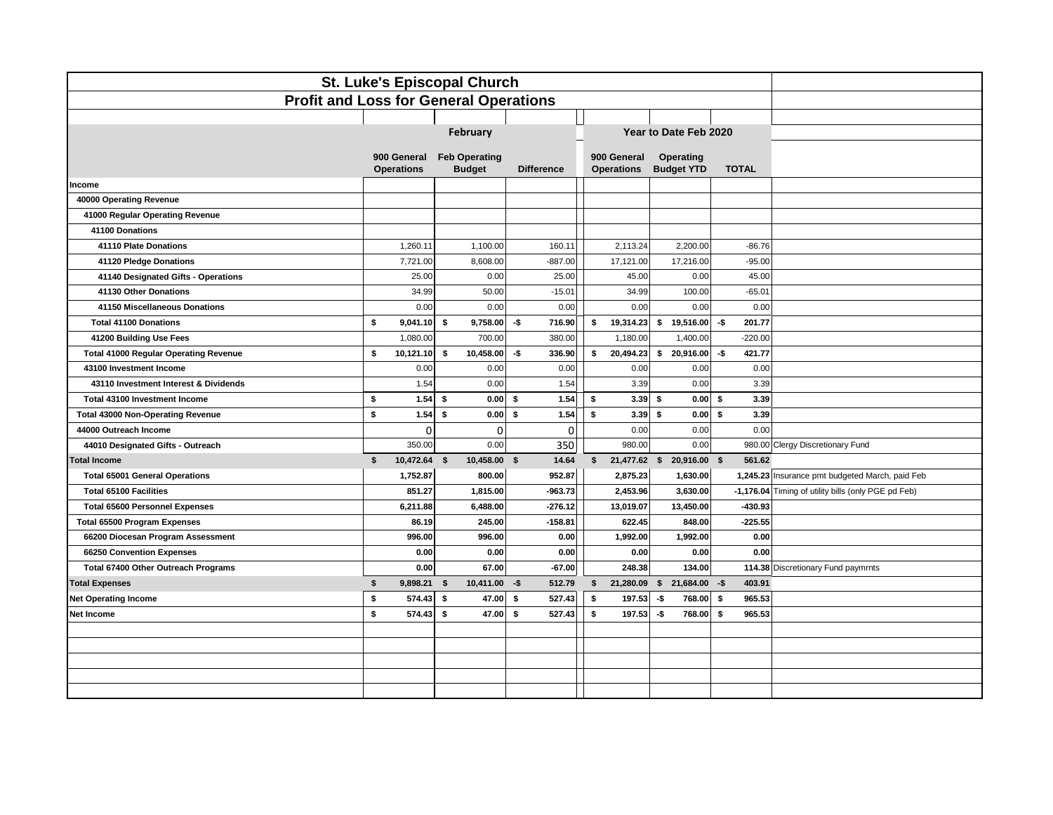| St. Luke's Episcopal Church                   |              |                                  |                                       |                   |    |                                  |      |                                |      |              |                                                     |  |
|-----------------------------------------------|--------------|----------------------------------|---------------------------------------|-------------------|----|----------------------------------|------|--------------------------------|------|--------------|-----------------------------------------------------|--|
| <b>Profit and Loss for General Operations</b> |              |                                  |                                       |                   |    |                                  |      |                                |      |              |                                                     |  |
|                                               |              |                                  |                                       |                   |    |                                  |      |                                |      |              |                                                     |  |
|                                               |              |                                  | February                              |                   |    |                                  |      | Year to Date Feb 2020          |      |              |                                                     |  |
|                                               |              | 900 General<br><b>Operations</b> | <b>Feb Operating</b><br><b>Budget</b> | <b>Difference</b> |    | 900 General<br><b>Operations</b> |      | Operating<br><b>Budget YTD</b> |      | <b>TOTAL</b> |                                                     |  |
| Income                                        |              |                                  |                                       |                   |    |                                  |      |                                |      |              |                                                     |  |
| 40000 Operating Revenue                       |              |                                  |                                       |                   |    |                                  |      |                                |      |              |                                                     |  |
| 41000 Regular Operating Revenue               |              |                                  |                                       |                   |    |                                  |      |                                |      |              |                                                     |  |
| 41100 Donations                               |              |                                  |                                       |                   |    |                                  |      |                                |      |              |                                                     |  |
| 41110 Plate Donations                         |              | 1,260.11                         | 1,100.00                              | 160.11            |    | 2,113.24                         |      | 2,200.00                       |      | $-86.76$     |                                                     |  |
| 41120 Pledge Donations                        |              | 7,721.00                         | 8,608.00                              | $-887.00$         |    | 17,121.00                        |      | 17,216.00                      |      | $-95.00$     |                                                     |  |
| 41140 Designated Gifts - Operations           |              | 25.00                            | 0.00                                  | 25.00             |    | 45.00                            |      | 0.00                           |      | 45.00        |                                                     |  |
| 41130 Other Donations                         |              | 34.99                            | 50.00                                 | $-15.01$          |    | 34.99                            |      | 100.00                         |      | $-65.01$     |                                                     |  |
| 41150 Miscellaneous Donations                 |              | 0.00                             | 0.00                                  | 0.00              |    | 0.00                             |      | 0.00                           |      | 0.00         |                                                     |  |
| <b>Total 41100 Donations</b>                  | \$           | 9.041.10                         | 9,758.00<br>s.                        | -\$<br>716.90     | \$ | 19,314.23                        | \$   | 19,516.00                      | -\$  | 201.77       |                                                     |  |
| 41200 Building Use Fees                       |              | 1,080.00                         | 700.00                                | 380.00            |    | 1,180.00                         |      | 1,400.00                       |      | $-220.00$    |                                                     |  |
| <b>Total 41000 Regular Operating Revenue</b>  | s.           | 10,121.10                        | 10,458.00<br>\$                       | -\$<br>336.90     | \$ | 20,494.23                        | \$   | 20,916.00                      | -\$  | 421.77       |                                                     |  |
| 43100 Investment Income                       |              | 0.00                             | 0.00                                  | 0.00              |    | 0.00                             |      | 0.00                           |      | 0.00         |                                                     |  |
| 43110 Investment Interest & Dividends         |              | 1.54                             | 0.00                                  | 1.54              |    | 3.39                             |      | 0.00                           |      | 3.39         |                                                     |  |
| Total 43100 Investment Income                 | \$           | 1.54                             | 0.00<br>\$                            | 1.54<br>-S        | \$ | 3.39                             | \$   | 0.00                           | \$   | 3.39         |                                                     |  |
| <b>Total 43000 Non-Operating Revenue</b>      | \$           | 1.54                             | \$<br>0.00                            | 1.54<br>s.        | s. | 3.39                             | - \$ | 0.00                           | s.   | 3.39         |                                                     |  |
| 44000 Outreach Income                         |              | 0                                | $\mathbf 0$                           | $\mathbf 0$       |    | 0.00                             |      | 0.00                           |      | 0.00         |                                                     |  |
| 44010 Designated Gifts - Outreach             |              | 350.00                           | 0.00                                  | 350               |    | 980.00                           |      | 0.00                           |      |              | 980.00 Clergy Discretionary Fund                    |  |
| <b>Total Income</b>                           | \$           | 10,472.64                        | 10,458.00<br>\$                       | \$<br>14.64       | \$ | 21,477.62 \$                     |      | 20,916.00 \$                   |      | 561.62       |                                                     |  |
| <b>Total 65001 General Operations</b>         |              | 1,752.87                         | 800.00                                | 952.87            |    | 2,875.23                         |      | 1,630.00                       |      |              | 1,245.23 Insurance pmt budgeted March, paid Feb     |  |
| <b>Total 65100 Facilities</b>                 |              | 851.27                           | 1,815.00                              | $-963.73$         |    | 2,453.96                         |      | 3,630.00                       |      |              | -1,176.04 Timing of utility bills (only PGE pd Feb) |  |
| <b>Total 65600 Personnel Expenses</b>         |              | 6,211.88                         | 6,488.00                              | $-276.12$         |    | 13,019.07                        |      | 13,450.00                      |      | -430.93      |                                                     |  |
| <b>Total 65500 Program Expenses</b>           |              | 86.19                            | 245.00                                | $-158.81$         |    | 622.45                           |      | 848.00                         |      | $-225.55$    |                                                     |  |
| 66200 Diocesan Program Assessment             |              | 996.00                           | 996.00                                | 0.00              |    | 1,992.00                         |      | 1,992.00                       |      | 0.00         |                                                     |  |
| 66250 Convention Expenses                     |              | 0.00                             | 0.00                                  | 0.00              |    | 0.00                             |      | 0.00                           |      | 0.00         |                                                     |  |
| Total 67400 Other Outreach Programs           |              | 0.00                             | 67.00                                 | -67.00            |    | 248.38                           |      | 134.00                         |      |              | 114.38 Discretionary Fund paymrnts                  |  |
| <b>Total Expenses</b>                         | \$           | 9,898.21                         | 10,411.00<br>\$                       | -\$<br>512.79     | \$ | 21,280.09 \$                     |      | 21,684.00 -\$                  |      | 403.91       |                                                     |  |
| <b>Net Operating Income</b>                   | $\mathbf{s}$ | 574.43                           | \$<br>47.00                           | \$<br>527.43      | \$ | 197.53                           | -\$  | 768.00                         | - \$ | 965.53       |                                                     |  |
| Net Income                                    | \$           | 574.43                           | 47.00<br>\$                           | \$<br>527.43      | \$ | 197.53                           | -\$  | 768.00                         | \$   | 965.53       |                                                     |  |
|                                               |              |                                  |                                       |                   |    |                                  |      |                                |      |              |                                                     |  |
|                                               |              |                                  |                                       |                   |    |                                  |      |                                |      |              |                                                     |  |
|                                               |              |                                  |                                       |                   |    |                                  |      |                                |      |              |                                                     |  |
|                                               |              |                                  |                                       |                   |    |                                  |      |                                |      |              |                                                     |  |
|                                               |              |                                  |                                       |                   |    |                                  |      |                                |      |              |                                                     |  |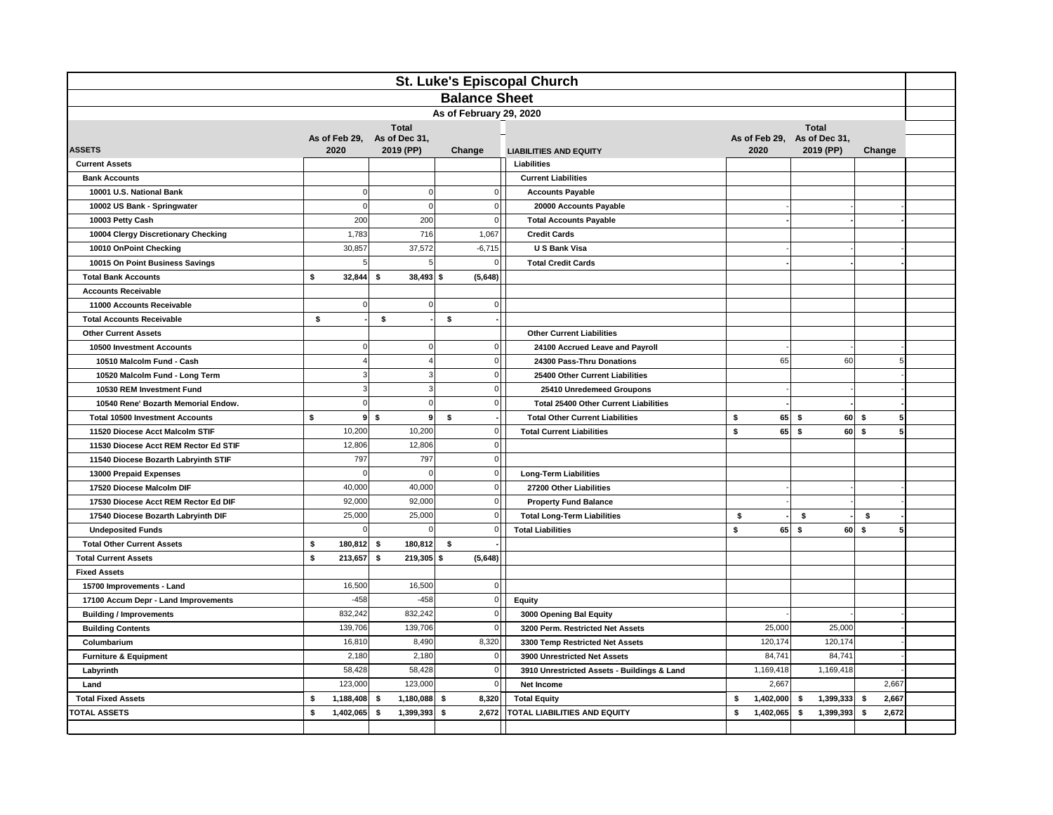| St. Luke's Episcopal Church            |      |               |                                          |                |                      |                                                                                   |    |           |                   |           |                 |  |
|----------------------------------------|------|---------------|------------------------------------------|----------------|----------------------|-----------------------------------------------------------------------------------|----|-----------|-------------------|-----------|-----------------|--|
|                                        |      |               |                                          |                | <b>Balance Sheet</b> |                                                                                   |    |           |                   |           |                 |  |
| As of February 29, 2020                |      |               |                                          |                |                      |                                                                                   |    |           |                   |           |                 |  |
|                                        |      |               | <b>Total</b>                             |                |                      | <b>Total</b>                                                                      |    |           |                   |           |                 |  |
| <b>ASSETS</b>                          | 2020 |               | As of Feb 29, As of Dec 31,<br>2019 (PP) |                | Change               | As of Feb 29, As of Dec 31,<br>2020<br>2019 (PP)<br><b>LIABILITIES AND EQUITY</b> |    |           | Change            |           |                 |  |
| <b>Current Assets</b>                  |      |               |                                          |                |                      | Liabilities                                                                       |    |           |                   |           |                 |  |
| <b>Bank Accounts</b>                   |      |               |                                          |                |                      | <b>Current Liabilities</b>                                                        |    |           |                   |           |                 |  |
| 10001 U.S. National Bank               |      | $\Omega$      |                                          | $\bf 0$        | $\Omega$             | <b>Accounts Payable</b>                                                           |    |           |                   |           |                 |  |
| 10002 US Bank - Springwater            |      | $\mathbf 0$   |                                          | $\pmb{0}$      | $\overline{0}$       | 20000 Accounts Payable                                                            |    |           |                   |           |                 |  |
| 10003 Petty Cash                       |      | 200           | 200                                      |                | $\mathbf 0$          | <b>Total Accounts Payable</b>                                                     |    |           |                   |           |                 |  |
| 10004 Clergy Discretionary Checking    |      | 1,783         | 716                                      |                | 1,067                | <b>Credit Cards</b>                                                               |    |           |                   |           |                 |  |
| 10010 OnPoint Checking                 |      | 30,857        | 37,572                                   |                | $-6,715$             | U S Bank Visa                                                                     |    |           |                   |           |                 |  |
| 10015 On Point Business Savings        |      | 5             |                                          | 5              | $\overline{0}$       | <b>Total Credit Cards</b>                                                         |    |           |                   |           |                 |  |
| <b>Total Bank Accounts</b>             | \$   | 32,844        | \$<br>$38,493$ \$                        |                | (5,648)              |                                                                                   |    |           |                   |           |                 |  |
| <b>Accounts Receivable</b>             |      |               |                                          |                |                      |                                                                                   |    |           |                   |           |                 |  |
| 11000 Accounts Receivable              |      | $\mathbf 0$   |                                          | $\bf 0$        | $\overline{0}$       |                                                                                   |    |           |                   |           |                 |  |
| <b>Total Accounts Receivable</b>       | \$   |               | \$                                       | \$             |                      |                                                                                   |    |           |                   |           |                 |  |
| <b>Other Current Assets</b>            |      |               |                                          |                |                      | <b>Other Current Liabilities</b>                                                  |    |           |                   |           |                 |  |
| 10500 Investment Accounts              |      | $\mathbf 0$   |                                          | $\pmb{0}$      | 0                    | 24100 Accrued Leave and Payroll                                                   |    |           |                   |           |                 |  |
| 10510 Malcolm Fund - Cash              |      |               |                                          | $\overline{4}$ | $\overline{0}$       | 24300 Pass-Thru Donations                                                         |    | 65        |                   | 60        | 5               |  |
| 10520 Malcolm Fund - Long Term         |      | $\mathcal{R}$ |                                          | 3              | $\mathbf 0$          | 25400 Other Current Liabilities                                                   |    |           |                   |           |                 |  |
| 10530 REM Investment Fund              |      | 3             |                                          | $\mathbf{3}$   | $\overline{0}$       | 25410 Unredemeed Groupons                                                         |    |           |                   |           |                 |  |
| 10540 Rene' Bozarth Memorial Endow.    |      | $\Omega$      |                                          | $\mathbf 0$    | $\mathbf 0$          | <b>Total 25400 Other Current Liabilities</b>                                      |    |           |                   |           |                 |  |
| <b>Total 10500 Investment Accounts</b> | \$   | 9             | \$                                       | 9<br>\$        |                      | <b>Total Other Current Liabilities</b>                                            | \$ | 65        | -\$               | 60<br>-\$ | 5               |  |
| 11520 Diocese Acct Malcolm STIF        |      | 10,200        | 10,200                                   |                | 0                    | <b>Total Current Liabilities</b>                                                  | \$ | 65        | s.                | $60$ \$   | $5\overline{5}$ |  |
| 11530 Diocese Acct REM Rector Ed STIF  |      | 12,806        | 12,806                                   |                | 0                    |                                                                                   |    |           |                   |           |                 |  |
| 11540 Diocese Bozarth Labryinth STIF   |      | 797           | 797                                      |                | $\mathbf 0$          |                                                                                   |    |           |                   |           |                 |  |
| 13000 Prepaid Expenses                 |      | $\mathbf 0$   |                                          | $\pmb{0}$      | 0                    | <b>Long-Term Liabilities</b>                                                      |    |           |                   |           |                 |  |
| 17520 Diocese Malcolm DIF              |      | 40,000        | 40,000                                   |                | $\mathbf 0$          | 27200 Other Liabilities                                                           |    |           |                   |           |                 |  |
| 17530 Diocese Acct REM Rector Ed DIF   |      | 92,000        | 92,000                                   |                | 0                    | <b>Property Fund Balance</b>                                                      |    |           |                   |           |                 |  |
| 17540 Diocese Bozarth Labryinth DIF    |      | 25,000        | 25,000                                   |                | $\overline{0}$       | <b>Total Long-Term Liabilities</b>                                                | \$ |           | \$                | \$        |                 |  |
| <b>Undeposited Funds</b>               |      | $\mathbf 0$   |                                          | $\mathbf 0$    | $\mathbf 0$          | <b>Total Liabilities</b>                                                          | \$ | 65        | \$                | s.<br>60  | 5               |  |
| <b>Total Other Current Assets</b>      | \$   | 180,812       | -\$<br>180,812                           | \$             |                      |                                                                                   |    |           |                   |           |                 |  |
| <b>Total Current Assets</b>            | \$   | 213,657       | \$<br>$219,305$ \$                       |                | (5,648)              |                                                                                   |    |           |                   |           |                 |  |
| <b>Fixed Assets</b>                    |      |               |                                          |                |                      |                                                                                   |    |           |                   |           |                 |  |
| 15700 Improvements - Land              |      | 16,500        | 16,500                                   |                | 0                    |                                                                                   |    |           |                   |           |                 |  |
| 17100 Accum Depr - Land Improvements   |      | $-458$        | $-458$                                   |                | 0                    | <b>Equity</b>                                                                     |    |           |                   |           |                 |  |
| <b>Building / Improvements</b>         |      | 832,242       | 832,242                                  |                | 0                    | 3000 Opening Bal Equity                                                           |    |           |                   |           |                 |  |
| <b>Building Contents</b>               |      | 139,706       | 139,706                                  |                | $\mathbf 0$          | 3200 Perm. Restricted Net Assets                                                  |    | 25,000    | 25,000            |           |                 |  |
| Columbarium                            |      | 16,810        | 8,490                                    |                | 8,320                | 3300 Temp Restricted Net Assets                                                   |    | 120,174   | 120,174           |           |                 |  |
| <b>Furniture &amp; Equipment</b>       |      | 2,180         | 2,180                                    |                | $\mathbf 0$          | 3900 Unrestricted Net Assets                                                      |    | 84,741    | 84,741            |           |                 |  |
| Labyrinth                              |      | 58,428        | 58,428                                   |                | $\overline{0}$       | 3910 Unrestricted Assets - Buildings & Land                                       |    | 1,169,418 | 1,169,418         |           |                 |  |
| Land                                   |      | 123,000       | 123,000                                  |                | 0                    | 2,667<br>Net Income                                                               |    | 2.667     |                   |           |                 |  |
| <b>Total Fixed Assets</b>              | \$   | 1,188,408     | \$<br>1,180,088                          | -\$            | 8,320                | <b>Total Equity</b>                                                               | \$ | 1,402,000 | 1,399,333<br>- \$ | \$        | 2,667           |  |
| <b>TOTAL ASSETS</b>                    | \$   | 1,402,065     | -S<br>1,399,393                          | - \$           | 2,672                | <b>TOTAL LIABILITIES AND EQUITY</b>                                               | \$ | 1,402,065 | 1,399,393<br>-\$  | \$        | 2,672           |  |
|                                        |      |               |                                          |                |                      |                                                                                   |    |           |                   |           |                 |  |